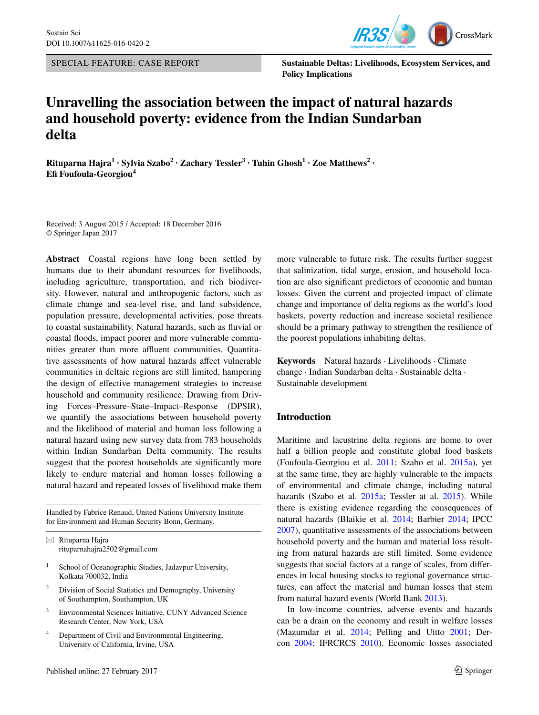SPECIAL FEATURE: CASE REPORT



**Sustainable Deltas: Livelihoods, Ecosystem Services, and Policy Implications**

# **Unravelling the association between the impact of natural hazards and household poverty: evidence from the Indian Sundarban delta**

**Rituparna Hajra<sup>1</sup> · Sylvia Szabo<sup>2</sup> · Zachary Tessler3 · Tuhin Ghosh1 · Zoe Matthews<sup>2</sup> · Efi Foufoula‑Georgiou<sup>4</sup>**

Received: 3 August 2015 / Accepted: 18 December 2016 © Springer Japan 2017

**Abstract** Coastal regions have long been settled by humans due to their abundant resources for livelihoods, including agriculture, transportation, and rich biodiversity. However, natural and anthropogenic factors, such as climate change and sea-level rise, and land subsidence, population pressure, developmental activities, pose threats to coastal sustainability. Natural hazards, such as fluvial or coastal floods, impact poorer and more vulnerable communities greater than more affluent communities. Quantitative assessments of how natural hazards affect vulnerable communities in deltaic regions are still limited, hampering the design of effective management strategies to increase household and community resilience. Drawing from Driving Forces–Pressure–State–Impact–Response (DPSIR), we quantify the associations between household poverty and the likelihood of material and human loss following a natural hazard using new survey data from 783 households within Indian Sundarban Delta community. The results suggest that the poorest households are significantly more likely to endure material and human losses following a natural hazard and repeated losses of livelihood make them

Handled by Fabrice Renaud, United Nations University Institute for Environment and Human Security Bonn, Germany.

 $\boxtimes$  Rituparna Hajra rituparnahajra2502@gmail.com

- <sup>1</sup> School of Oceanographic Studies, Jadavpur University, Kolkata 700032, India
- <sup>2</sup> Division of Social Statistics and Demography, University of Southampton, Southampton, UK
- <sup>3</sup> Environmental Sciences Initiative, CUNY Advanced Science Research Center, New York, USA
- <sup>4</sup> Department of Civil and Environmental Engineering, University of California, Irvine, USA

more vulnerable to future risk. The results further suggest that salinization, tidal surge, erosion, and household location are also significant predictors of economic and human losses. Given the current and projected impact of climate change and importance of delta regions as the world's food baskets, poverty reduction and increase societal resilience should be a primary pathway to strengthen the resilience of the poorest populations inhabiting deltas.

**Keywords** Natural hazards · Livelihoods · Climate change · Indian Sundarban delta · Sustainable delta · Sustainable development

### **Introduction**

Maritime and lacustrine delta regions are home to over half a billion people and constitute global food baskets (Foufoula-Georgiou et al. [2011](#page-10-0); Szabo et al. [2015a](#page-11-0)), yet at the same time, they are highly vulnerable to the impacts of environmental and climate change, including natural hazards (Szabo et al. [2015a;](#page-11-0) Tessler at al. [2015\)](#page-11-1). While there is existing evidence regarding the consequences of natural hazards (Blaikie et al. [2014](#page-10-1); Barbier [2014](#page-10-2); IPCC [2007](#page-10-3)), quantitative assessments of the associations between household poverty and the human and material loss resulting from natural hazards are still limited. Some evidence suggests that social factors at a range of scales, from differences in local housing stocks to regional governance structures, can affect the material and human losses that stem from natural hazard events (World Bank [2013](#page-11-2)).

In low-income countries, adverse events and hazards can be a drain on the economy and result in welfare losses (Mazumdar et al. [2014;](#page-11-3) Pelling and Uitto [2001](#page-11-4); Dercon [2004](#page-10-4); IFRCRCS [2010](#page-10-5)). Economic losses associated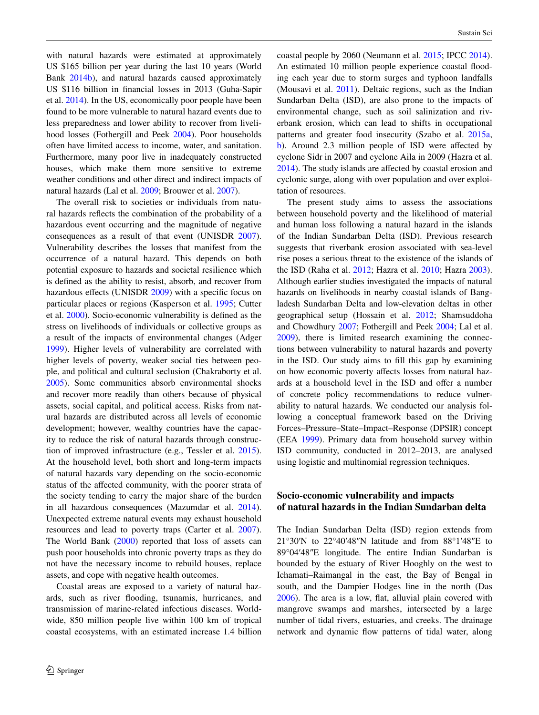with natural hazards were estimated at approximately US \$165 billion per year during the last 10 years (World Bank [2014b\)](#page-11-5), and natural hazards caused approximately US \$116 billion in financial losses in 2013 (Guha-Sapir et al. [2014\)](#page-10-6). In the US, economically poor people have been found to be more vulnerable to natural hazard events due to less preparedness and lower ability to recover from livelihood losses (Fothergill and Peek [2004](#page-10-7)). Poor households often have limited access to income, water, and sanitation. Furthermore, many poor live in inadequately constructed houses, which make them more sensitive to extreme weather conditions and other direct and indirect impacts of natural hazards (Lal et al. [2009](#page-10-8); Brouwer et al. [2007\)](#page-10-9).

The overall risk to societies or individuals from natural hazards reflects the combination of the probability of a hazardous event occurring and the magnitude of negative consequences as a result of that event (UNISDR [2007](#page-11-6)). Vulnerability describes the losses that manifest from the occurrence of a natural hazard. This depends on both potential exposure to hazards and societal resilience which is defined as the ability to resist, absorb, and recover from hazardous effects (UNISDR [2009\)](#page-11-7) with a specific focus on particular places or regions (Kasperson et al. [1995](#page-10-10); Cutter et al. [2000\)](#page-10-11). Socio-economic vulnerability is defined as the stress on livelihoods of individuals or collective groups as a result of the impacts of environmental changes (Adger [1999](#page-9-0)). Higher levels of vulnerability are correlated with higher levels of poverty, weaker social ties between people, and political and cultural seclusion (Chakraborty et al. [2005](#page-10-12)). Some communities absorb environmental shocks and recover more readily than others because of physical assets, social capital, and political access. Risks from natural hazards are distributed across all levels of economic development; however, wealthy countries have the capacity to reduce the risk of natural hazards through construction of improved infrastructure (e.g., Tessler et al. [2015](#page-11-1)). At the household level, both short and long-term impacts of natural hazards vary depending on the socio-economic status of the affected community, with the poorer strata of the society tending to carry the major share of the burden in all hazardous consequences (Mazumdar et al. [2014](#page-11-3)). Unexpected extreme natural events may exhaust household resources and lead to poverty traps (Carter et al. [2007](#page-10-13)). The World Bank [\(2000](#page-11-8)) reported that loss of assets can push poor households into chronic poverty traps as they do not have the necessary income to rebuild houses, replace assets, and cope with negative health outcomes.

Coastal areas are exposed to a variety of natural hazards, such as river flooding, tsunamis, hurricanes, and transmission of marine-related infectious diseases. Worldwide, 850 million people live within 100 km of tropical coastal ecosystems, with an estimated increase 1.4 billion coastal people by 2060 (Neumann et al. [2015](#page-11-9); IPCC [2014](#page-10-14)). An estimated 10 million people experience coastal flooding each year due to storm surges and typhoon landfalls (Mousavi et al. [2011\)](#page-11-10). Deltaic regions, such as the Indian Sundarban Delta (ISD), are also prone to the impacts of environmental change, such as soil salinization and riverbank erosion, which can lead to shifts in occupational patterns and greater food insecurity (Szabo et al. [2015a,](#page-11-0) [b](#page-11-11)). Around 2.3 million people of ISD were affected by cyclone Sidr in 2007 and cyclone Aila in 2009 (Hazra et al. [2014](#page-10-15)). The study islands are affected by coastal erosion and cyclonic surge, along with over population and over exploitation of resources.

The present study aims to assess the associations between household poverty and the likelihood of material and human loss following a natural hazard in the islands of the Indian Sundarban Delta (ISD). Previous research suggests that riverbank erosion associated with sea-level rise poses a serious threat to the existence of the islands of the ISD (Raha et al. [2012](#page-11-12); Hazra et al. [2010;](#page-10-16) Hazra [2003](#page-10-17)). Although earlier studies investigated the impacts of natural hazards on livelihoods in nearby coastal islands of Bangladesh Sundarban Delta and low-elevation deltas in other geographical setup (Hossain et al. [2012;](#page-10-18) Shamsuddoha and Chowdhury [2007;](#page-11-13) Fothergill and Peek [2004](#page-10-7); Lal et al. [2009](#page-10-8)), there is limited research examining the connections between vulnerability to natural hazards and poverty in the ISD. Our study aims to fill this gap by examining on how economic poverty affects losses from natural hazards at a household level in the ISD and offer a number of concrete policy recommendations to reduce vulnerability to natural hazards. We conducted our analysis following a conceptual framework based on the Driving Forces–Pressure–State–Impact–Response (DPSIR) concept (EEA [1999\)](#page-10-19). Primary data from household survey within ISD community, conducted in 2012–2013, are analysed using logistic and multinomial regression techniques.

## **Socio‑economic vulnerability and impacts of natural hazards in the Indian Sundarban delta**

The Indian Sundarban Delta (ISD) region extends from 21°30′N to 22°40′48″N latitude and from 88°1′48″E to 89°04′48″E longitude. The entire Indian Sundarban is bounded by the estuary of River Hooghly on the west to Ichamati–Raimangal in the east, the Bay of Bengal in south, and the Dampier Hodges line in the north (Das [2006](#page-10-20)). The area is a low, flat, alluvial plain covered with mangrove swamps and marshes, intersected by a large number of tidal rivers, estuaries, and creeks. The drainage network and dynamic flow patterns of tidal water, along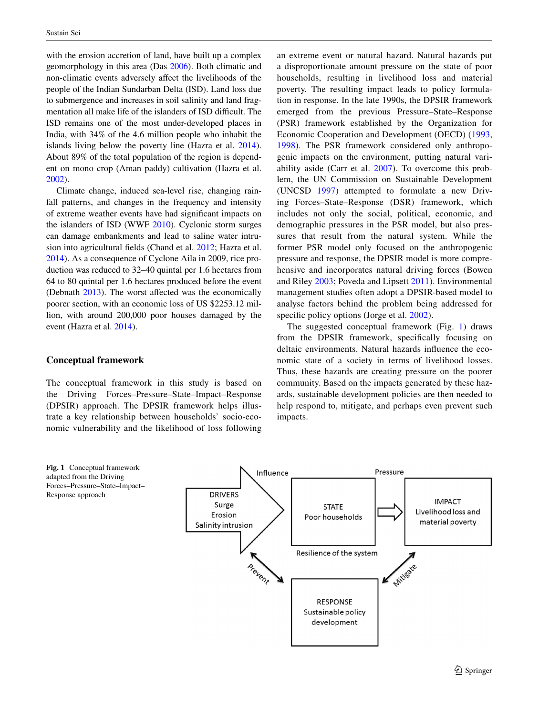with the erosion accretion of land, have built up a complex geomorphology in this area (Das [2006\)](#page-10-20). Both climatic and non-climatic events adversely affect the livelihoods of the people of the Indian Sundarban Delta (ISD). Land loss due to submergence and increases in soil salinity and land fragmentation all make life of the islanders of ISD difficult. The ISD remains one of the most under-developed places in India, with 34% of the 4.6 million people who inhabit the islands living below the poverty line (Hazra et al. [2014](#page-10-15)). About 89% of the total population of the region is dependent on mono crop (Aman paddy) cultivation (Hazra et al. [2002](#page-10-21)).

Climate change, induced sea-level rise, changing rainfall patterns, and changes in the frequency and intensity of extreme weather events have had significant impacts on the islanders of ISD (WWF [2010\)](#page-11-14). Cyclonic storm surges can damage embankments and lead to saline water intrusion into agricultural fields (Chand et al. [2012](#page-10-22); Hazra et al. [2014](#page-10-15)). As a consequence of Cyclone Aila in 2009, rice production was reduced to 32–40 quintal per 1.6 hectares from 64 to 80 quintal per 1.6 hectares produced before the event (Debnath [2013\)](#page-10-23). The worst affected was the economically poorer section, with an economic loss of US \$2253.12 million, with around 200,000 poor houses damaged by the event (Hazra et al. [2014](#page-10-15)).

#### **Conceptual framework**

The conceptual framework in this study is based on the Driving Forces–Pressure–State–Impact–Response (DPSIR) approach. The DPSIR framework helps illustrate a key relationship between households' socio-economic vulnerability and the likelihood of loss following an extreme event or natural hazard. Natural hazards put a disproportionate amount pressure on the state of poor households, resulting in livelihood loss and material poverty. The resulting impact leads to policy formulation in response. In the late 1990s, the DPSIR framework emerged from the previous Pressure–State–Response (PSR) framework established by the Organization for Economic Cooperation and Development (OECD) [\(1993,](#page-11-15) [1998\)](#page-11-16). The PSR framework considered only anthropogenic impacts on the environment, putting natural variability aside (Carr et al. [2007\)](#page-10-24). To overcome this problem, the UN Commission on Sustainable Development (UNCSD [1997\)](#page-11-17) attempted to formulate a new Driving Forces–State–Response (DSR) framework, which includes not only the social, political, economic, and demographic pressures in the PSR model, but also pressures that result from the natural system. While the former PSR model only focused on the anthropogenic pressure and response, the DPSIR model is more comprehensive and incorporates natural driving forces (Bowen and Riley [2003;](#page-10-25) Poveda and Lipsett [2011\)](#page-11-18). Environmental management studies often adopt a DPSIR-based model to analyse factors behind the problem being addressed for specific policy options (Jorge et al. [2002](#page-10-26)).

The suggested conceptual framework (Fig. [1](#page-2-0)) draws from the DPSIR framework, specifically focusing on deltaic environments. Natural hazards influence the economic state of a society in terms of livelihood losses. Thus, these hazards are creating pressure on the poorer community. Based on the impacts generated by these hazards, sustainable development policies are then needed to help respond to, mitigate, and perhaps even prevent such impacts.

<span id="page-2-0"></span>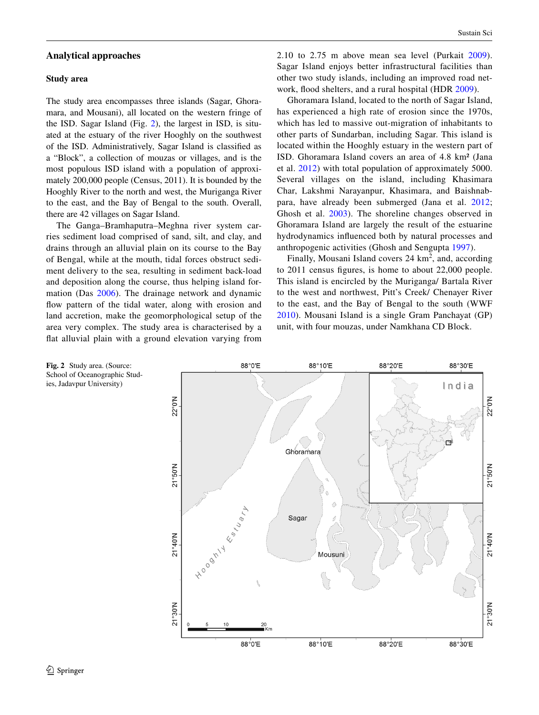### **Analytical approaches**

#### **Study area**

The study area encompasses three islands (Sagar, Ghoramara, and Mousani), all located on the western fringe of the ISD. Sagar Island (Fig. [2\)](#page-3-0), the largest in ISD, is situated at the estuary of the river Hooghly on the southwest of the ISD. Administratively, Sagar Island is classified as a "Block", a collection of mouzas or villages, and is the most populous ISD island with a population of approximately 200,000 people (Census, 2011). It is bounded by the Hooghly River to the north and west, the Muriganga River to the east, and the Bay of Bengal to the south. Overall, there are 42 villages on Sagar Island.

The Ganga–Bramhaputra–Meghna river system carries sediment load comprised of sand, silt, and clay, and drains through an alluvial plain on its course to the Bay of Bengal, while at the mouth, tidal forces obstruct sediment delivery to the sea, resulting in sediment back-load and deposition along the course, thus helping island formation (Das [2006\)](#page-10-20). The drainage network and dynamic flow pattern of the tidal water, along with erosion and land accretion, make the geomorphological setup of the area very complex. The study area is characterised by a flat alluvial plain with a ground elevation varying from

2.10 to 2.75 m above mean sea level (Purkait [2009](#page-11-19)). Sagar Island enjoys better infrastructural facilities than other two study islands, including an improved road network, flood shelters, and a rural hospital (HDR [2009\)](#page-10-27).

Ghoramara Island, located to the north of Sagar Island, has experienced a high rate of erosion since the 1970s, which has led to massive out-migration of inhabitants to other parts of Sundarban, including Sagar. This island is located within the Hooghly estuary in the western part of ISD. Ghoramara Island covers an area of 4.8 km² (Jana et al. [2012](#page-10-28)) with total population of approximately 5000. Several villages on the island, including Khasimara Char, Lakshmi Narayanpur, Khasimara, and Baishnabpara, have already been submerged (Jana et al. [2012](#page-10-28); Ghosh et al. [2003](#page-10-29)). The shoreline changes observed in Ghoramara Island are largely the result of the estuarine hydrodynamics influenced both by natural processes and anthropogenic activities (Ghosh and Sengupta [1997\)](#page-10-30).

Finally, Mousani Island covers  $24 \text{ km}^2$ , and, according to 2011 census figures, is home to about 22,000 people. This island is encircled by the Muriganga/ Bartala River to the west and northwest, Pitt's Creek/ Chenayer River to the east, and the Bay of Bengal to the south (WWF [2010\)](#page-11-14). Mousani Island is a single Gram Panchayat (GP) unit, with four mouzas, under Namkhana CD Block.

<span id="page-3-0"></span>

School of Oceanographic Studies, Jadavpur University)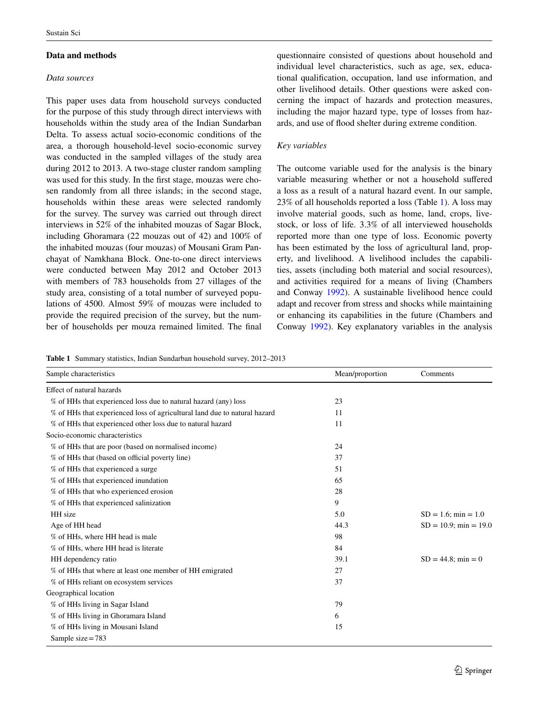## **Data and methods**

## *Data sources*

This paper uses data from household surveys conducted for the purpose of this study through direct interviews with households within the study area of the Indian Sundarban Delta. To assess actual socio-economic conditions of the area, a thorough household-level socio-economic survey was conducted in the sampled villages of the study area during 2012 to 2013. A two-stage cluster random sampling was used for this study. In the first stage, mouzas were chosen randomly from all three islands; in the second stage, households within these areas were selected randomly for the survey. The survey was carried out through direct interviews in 52% of the inhabited mouzas of Sagar Block, including Ghoramara (22 mouzas out of 42) and 100% of the inhabited mouzas (four mouzas) of Mousani Gram Panchayat of Namkhana Block. One-to-one direct interviews were conducted between May 2012 and October 2013 with members of 783 households from 27 villages of the study area, consisting of a total number of surveyed populations of 4500. Almost 59% of mouzas were included to provide the required precision of the survey, but the number of households per mouza remained limited. The final questionnaire consisted of questions about household and individual level characteristics, such as age, sex, educational qualification, occupation, land use information, and other livelihood details. Other questions were asked concerning the impact of hazards and protection measures, including the major hazard type, type of losses from hazards, and use of flood shelter during extreme condition.

# *Key variables*

The outcome variable used for the analysis is the binary variable measuring whether or not a household suffered a loss as a result of a natural hazard event. In our sample, 23% of all households reported a loss (Table [1](#page-4-0)). A loss may involve material goods, such as home, land, crops, livestock, or loss of life. 3.3% of all interviewed households reported more than one type of loss. Economic poverty has been estimated by the loss of agricultural land, property, and livelihood. A livelihood includes the capabilities, assets (including both material and social resources), and activities required for a means of living (Chambers and Conway [1992](#page-10-31)). A sustainable livelihood hence could adapt and recover from stress and shocks while maintaining or enhancing its capabilities in the future (Chambers and Conway [1992\)](#page-10-31). Key explanatory variables in the analysis

<span id="page-4-0"></span>**Table 1** Summary statistics, Indian Sundarban household survey, 2012–2013

| Sample characteristics                                                    | Mean/proportion | Comments                 |  |
|---------------------------------------------------------------------------|-----------------|--------------------------|--|
| Effect of natural hazards                                                 |                 |                          |  |
| % of HHs that experienced loss due to natural hazard (any) loss           | 23              |                          |  |
| % of HHs that experienced loss of agricultural land due to natural hazard | 11              |                          |  |
| % of HHs that experienced other loss due to natural hazard                | 11              |                          |  |
| Socio-economic characteristics                                            |                 |                          |  |
| % of HHs that are poor (based on normalised income)                       | 24              |                          |  |
| % of HHs that (based on official poverty line)                            | 37              |                          |  |
| % of HHs that experienced a surge                                         | 51              |                          |  |
| % of HHs that experienced inundation                                      | 65              |                          |  |
| % of HHs that who experienced erosion                                     | 28              |                          |  |
| % of HHs that experienced salinization                                    | 9               |                          |  |
| HH size                                                                   | 5.0             | $SD = 1.6$ ; min = 1.0   |  |
| Age of HH head                                                            | 44.3            | $SD = 10.9$ ; min = 19.0 |  |
| % of HHs, where HH head is male                                           | 98              |                          |  |
| % of HHs, where HH head is literate                                       | 84              |                          |  |
| HH dependency ratio                                                       | 39.1            | $SD = 44.8$ ; min = 0    |  |
| % of HHs that where at least one member of HH emigrated                   | 27              |                          |  |
| % of HHs reliant on ecosystem services                                    | 37              |                          |  |
| Geographical location                                                     |                 |                          |  |
| % of HHs living in Sagar Island                                           | 79              |                          |  |
| % of HHs living in Ghoramara Island                                       | 6               |                          |  |
| % of HHs living in Mousani Island                                         | 15              |                          |  |
| Sample size = $783$                                                       |                 |                          |  |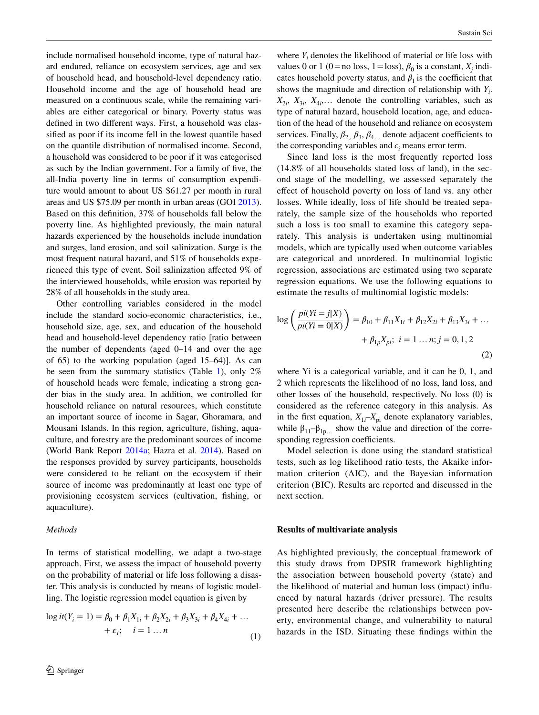include normalised household income, type of natural hazard endured, reliance on ecosystem services, age and sex of household head, and household-level dependency ratio. Household income and the age of household head are measured on a continuous scale, while the remaining variables are either categorical or binary. Poverty status was defined in two different ways. First, a household was classified as poor if its income fell in the lowest quantile based on the quantile distribution of normalised income. Second, a household was considered to be poor if it was categorised as such by the Indian government. For a family of five, the all-India poverty line in terms of consumption expenditure would amount to about US \$61.27 per month in rural areas and US \$75.09 per month in urban areas (GOI [2013](#page-10-32)). Based on this definition, 37% of households fall below the poverty line. As highlighted previously, the main natural hazards experienced by the households include inundation and surges, land erosion, and soil salinization. Surge is the most frequent natural hazard, and 51% of households experienced this type of event. Soil salinization affected 9% of the interviewed households, while erosion was reported by 28% of all households in the study area.

Other controlling variables considered in the model include the standard socio-economic characteristics, i.e., household size, age, sex, and education of the household head and household-level dependency ratio [ratio between the number of dependents (aged 0–14 and over the age of 65) to the working population (aged 15–64)]. As can be seen from the summary statistics (Table [1](#page-4-0)), only  $2\%$ of household heads were female, indicating a strong gender bias in the study area. In addition, we controlled for household reliance on natural resources, which constitute an important source of income in Sagar, Ghoramara, and Mousani Islands. In this region, agriculture, fishing, aquaculture, and forestry are the predominant sources of income (World Bank Report [2014a](#page-11-20); Hazra et al. [2014](#page-10-15)). Based on the responses provided by survey participants, households were considered to be reliant on the ecosystem if their source of income was predominantly at least one type of provisioning ecosystem services (cultivation, fishing, or aquaculture).

#### *Methods*

In terms of statistical modelling, we adapt a two-stage approach. First, we assess the impact of household poverty on the probability of material or life loss following a disaster. This analysis is conducted by means of logistic modelling. The logistic regression model equation is given by

$$
\log it(Y_i = 1) = \beta_0 + \beta_1 X_{1i} + \beta_2 X_{2i} + \beta_3 X_{3i} + \beta_4 X_{4i} + \dots + \varepsilon_i; \quad i = 1 \dots n
$$
 (1)

where  $Y_i$  denotes the likelihood of material or life loss with values 0 or 1 (0 = no loss, 1 = loss),  $\beta_0$  is a constant,  $X_j$  indicates household poverty status, and  $\beta_1$  is the coefficient that shows the magnitude and direction of relationship with  $Y_i$ .  $X_{2i}$ ,  $X_{3i}$ ,  $X_{4i}$ ... denote the controlling variables, such as type of natural hazard, household location, age, and education of the head of the household and reliance on ecosystem services. Finally,  $\beta_2$ ,  $\beta_3$ ,  $\beta_4$  denote adjacent coefficients to the corresponding variables and  $\epsilon_i$  means error term.

Since land loss is the most frequently reported loss (14.8% of all households stated loss of land), in the second stage of the modelling, we assessed separately the effect of household poverty on loss of land vs. any other losses. While ideally, loss of life should be treated separately, the sample size of the households who reported such a loss is too small to examine this category separately. This analysis is undertaken using multinomial models, which are typically used when outcome variables are categorical and unordered. In multinomial logistic regression, associations are estimated using two separate regression equations. We use the following equations to estimate the results of multinomial logistic models:

$$
\log\left(\frac{pi(Yi=j|X)}{pi(Yi=0|X)}\right) = \beta_{10} + \beta_{11}X_{1i} + \beta_{12}X_{2i} + \beta_{13}X_{3i} + \dots
$$

$$
+ \beta_{1p}X_{pi}; \ i = 1 \dots n; j = 0, 1, 2
$$
\n(2)

where Yi is a categorical variable, and it can be 0, 1, and 2 which represents the likelihood of no loss, land loss, and other losses of the household, respectively. No loss (0) is considered as the reference category in this analysis. As in the first equation,  $X_{1i}$ – $X_{pi}$  denote explanatory variables, while  $\beta_{11}-\beta_{1p}$  show the value and direction of the corresponding regression coefficients.

Model selection is done using the standard statistical tests, such as log likelihood ratio tests, the Akaike information criterion (AIC), and the Bayesian information criterion (BIC). Results are reported and discussed in the next section.

#### **Results of multivariate analysis**

As highlighted previously, the conceptual framework of this study draws from DPSIR framework highlighting the association between household poverty (state) and the likelihood of material and human loss (impact) influenced by natural hazards (driver pressure). The results presented here describe the relationships between poverty, environmental change, and vulnerability to natural hazards in the ISD. Situating these findings within the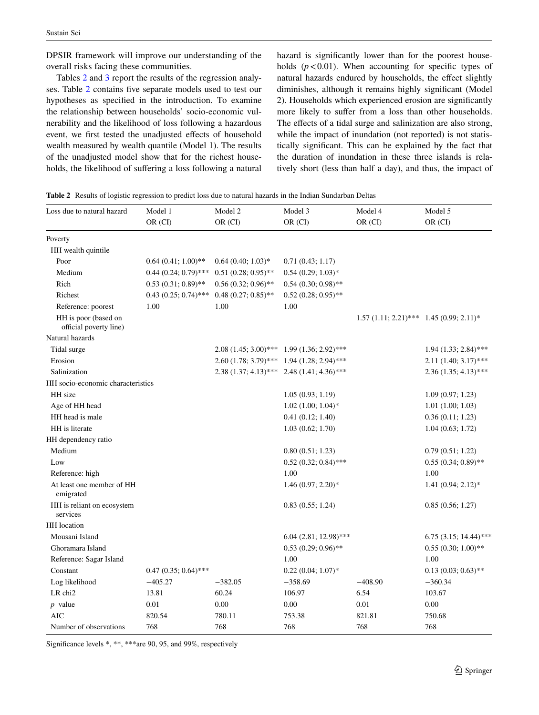DPSIR framework will improve our understanding of the overall risks facing these communities.

Tables [2](#page-6-0) and [3](#page-7-0) report the results of the regression analyses. Table [2](#page-6-0) contains five separate models used to test our hypotheses as specified in the introduction. To examine the relationship between households' socio-economic vulnerability and the likelihood of loss following a hazardous event, we first tested the unadjusted effects of household wealth measured by wealth quantile (Model 1). The results of the unadjusted model show that for the richest households, the likelihood of suffering a loss following a natural hazard is significantly lower than for the poorest households  $(p<0.01)$ . When accounting for specific types of natural hazards endured by households, the effect slightly diminishes, although it remains highly significant (Model 2). Households which experienced erosion are significantly more likely to suffer from a loss than other households. The effects of a tidal surge and salinization are also strong, while the impact of inundation (not reported) is not statistically significant. This can be explained by the fact that the duration of inundation in these three islands is relatively short (less than half a day), and thus, the impact of

<span id="page-6-0"></span>

| Loss due to natural hazard                     | Model 1                | Model 2               | Model 3                                        | Model 4                                      | Model 5                   |
|------------------------------------------------|------------------------|-----------------------|------------------------------------------------|----------------------------------------------|---------------------------|
|                                                | OR (CI)                | OR (CI)               | OR (CI)                                        | OR (CI)                                      | OR (CI)                   |
| Poverty                                        |                        |                       |                                                |                                              |                           |
| HH wealth quintile                             |                        |                       |                                                |                                              |                           |
| Poor                                           | $0.64(0.41; 1.00)$ **  | $0.64(0.40; 1.03)*$   | 0.71(0.43; 1.17)                               |                                              |                           |
| Medium                                         | $0.44(0.24; 0.79)$ *** | $0.51(0.28; 0.95)$ ** | $0.54(0.29; 1.03)*$                            |                                              |                           |
| Rich                                           | $0.53(0.31; 0.89)$ **  | $0.56(0.32; 0.96)$ ** | $0.54(0.30; 0.98)$ **                          |                                              |                           |
| Richest                                        | $0.43(0.25; 0.74)$ *** | $0.48(0.27; 0.85)$ ** | $0.52(0.28; 0.95)$ **                          |                                              |                           |
| Reference: poorest                             | 1.00                   | 1.00                  | 1.00                                           |                                              |                           |
| HH is poor (based on<br>official poverty line) |                        |                       |                                                | $1.57(1.11; 2.21)$ *** 1.45 $(0.99; 2.11)$ * |                           |
| Natural hazards                                |                        |                       |                                                |                                              |                           |
| Tidal surge                                    |                        |                       | $2.08(1.45; 3.00)$ *** 1.99 $(1.36; 2.92)$ *** |                                              | $1.94$ $(1.33; 2.84)$ *** |
| Erosion                                        |                        |                       | 2.60 (1.78; 3.79)*** 1.94 (1.28; 2.94)***      |                                              | $2.11(1.40; 3.17)$ ***    |
| Salinization                                   |                        |                       | $2.38(1.37; 4.13)$ *** $2.48(1.41; 4.36)$ ***  |                                              | $2.36(1.35; 4.13)$ ***    |
| HH socio-economic characteristics              |                        |                       |                                                |                                              |                           |
| HH size                                        |                        |                       | 1.05(0.93; 1.19)                               |                                              | 1.09(0.97; 1.23)          |
| Age of HH head                                 |                        |                       | $1.02$ $(1.00; 1.04)$ *                        |                                              | 1.01(1.00; 1.03)          |
| HH head is male                                |                        |                       | 0.41(0.12; 1.40)                               |                                              | 0.36(0.11; 1.23)          |
| HH is literate                                 |                        |                       | 1.03(0.62; 1.70)                               |                                              | 1.04(0.63; 1.72)          |
| HH dependency ratio                            |                        |                       |                                                |                                              |                           |
| Medium                                         |                        |                       | 0.80(0.51; 1.23)                               |                                              | 0.79(0.51; 1.22)          |
| Low                                            |                        |                       | $0.52(0.32; 0.84)$ ***                         |                                              | $0.55(0.34; 0.89)$ **     |
| Reference: high                                |                        |                       | 1.00                                           |                                              | 1.00                      |
| At least one member of HH<br>emigrated         |                        |                       | $1.46(0.97; 2.20)$ *                           |                                              | $1.41(0.94; 2.12)^*$      |
| HH is reliant on ecosystem<br>services         |                        |                       | 0.83(0.55; 1.24)                               |                                              | 0.85(0.56; 1.27)          |
| <b>HH</b> location                             |                        |                       |                                                |                                              |                           |
| Mousani Island                                 |                        |                       | $6.04$ (2.81; 12.98)***                        |                                              | $6.75$ (3.15; 14.44)***   |
| Ghoramara Island                               |                        |                       | $0.53(0.29; 0.96)$ **                          |                                              | $0.55(0.30; 1.00)$ **     |
| Reference: Sagar Island                        |                        |                       | 1.00                                           |                                              | 1.00                      |
| Constant                                       | $0.47(0.35; 0.64)$ *** |                       | $0.22(0.04; 1.07)^*$                           |                                              | $0.13(0.03; 0.63)$ **     |
| Log likelihood                                 | $-405.27$              | $-382.05$             | $-358.69$                                      | $-408.90$                                    | $-360.34$                 |
| LR chi <sub>2</sub>                            | 13.81                  | 60.24                 | 106.97                                         | 6.54                                         | 103.67                    |
| $p$ value                                      | 0.01                   | 0.00                  | 0.00                                           | 0.01                                         | 0.00                      |
| <b>AIC</b>                                     | 820.54                 | 780.11                | 753.38                                         | 821.81                                       | 750.68                    |
| Number of observations                         | 768                    | 768                   | 768                                            | 768                                          | 768                       |

Significance levels \*, \*\*, \*\*\*are 90, 95, and 99%, respectively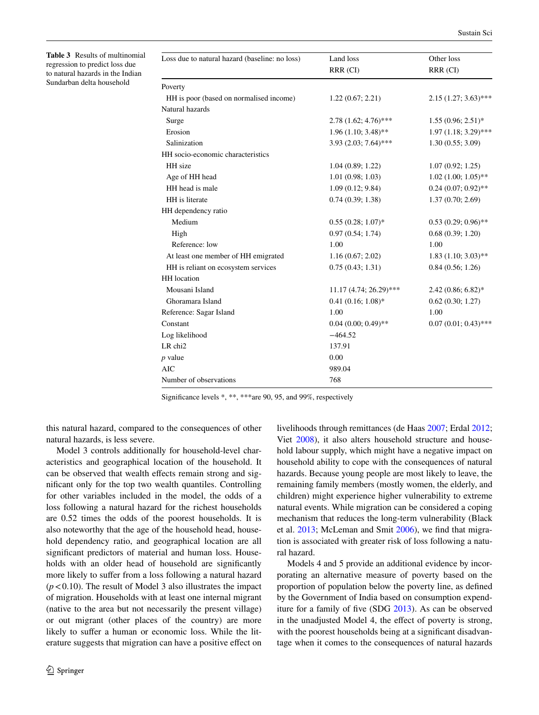<span id="page-7-0"></span>**Table 3** Results of multinomial regression to predict loss due to natural hazards in the Indian Sundarban delta household

| Loss due to natural hazard (baseline: no loss) | Land loss                | Other loss<br>RRR (CI)   |  |
|------------------------------------------------|--------------------------|--------------------------|--|
|                                                | RRR (CI)                 |                          |  |
| Poverty                                        |                          |                          |  |
| HH is poor (based on normalised income)        | 1.22(0.67; 2.21)         | $2.15(1.27; 3.63)$ ***   |  |
| Natural hazards                                |                          |                          |  |
| Surge                                          | $2.78(1.62; 4.76)$ ***   | $1.55(0.96; 2.51)^*$     |  |
| Erosion                                        | $1.96(1.10; 3.48)$ **    | $1.97(1.18; 3.29)$ ***   |  |
| Salinization                                   | $3.93(2.03; 7.64)$ ***   | 1.30(0.55; 3.09)         |  |
| HH socio-economic characteristics              |                          |                          |  |
| HH size                                        | 1.04(0.89; 1.22)         | 1.07(0.92; 1.25)         |  |
| Age of HH head                                 | 1.01(0.98; 1.03)         | $1.02$ $(1.00; 1.05)$ ** |  |
| HH head is male                                | 1.09(0.12; 9.84)         | $0.24(0.07; 0.92)$ **    |  |
| HH is literate                                 | 0.74(0.39; 1.38)         | 1.37(0.70; 2.69)         |  |
| HH dependency ratio                            |                          |                          |  |
| Medium                                         | $0.55(0.28; 1.07)^*$     | $0.53(0.29; 0.96)$ **    |  |
| High                                           | 0.97(0.54; 1.74)         | 0.68(0.39; 1.20)         |  |
| Reference: low                                 | 1.00                     | 1.00                     |  |
| At least one member of HH emigrated            | 1.16(0.67; 2.02)         | $1.83$ (1.10; 3.03)**    |  |
| HH is reliant on ecosystem services            | 0.75(0.43; 1.31)         | 0.84(0.56; 1.26)         |  |
| <b>HH</b> location                             |                          |                          |  |
| Mousani Island                                 | $11.17(4.74; 26.29)$ *** | $2.42(0.86; 6.82)*$      |  |
| Ghoramara Island                               | $0.41(0.16; 1.08)*$      | 0.62(0.30; 1.27)         |  |
| Reference: Sagar Island                        | 1.00                     | 1.00                     |  |
| Constant                                       | $0.04(0.00; 0.49)$ **    | $0.07(0.01; 0.43)$ ***   |  |
| Log likelihood                                 | $-464.52$                |                          |  |
| LR chi2                                        | 137.91                   |                          |  |
| p value                                        | 0.00                     |                          |  |
| <b>AIC</b>                                     | 989.04                   |                          |  |
| Number of observations                         | 768                      |                          |  |

Significance levels \*, \*\*, \*\*\*are 90, 95, and 99%, respectively

this natural hazard, compared to the consequences of other natural hazards, is less severe.

Model 3 controls additionally for household-level characteristics and geographical location of the household. It can be observed that wealth effects remain strong and significant only for the top two wealth quantiles. Controlling for other variables included in the model, the odds of a loss following a natural hazard for the richest households are 0.52 times the odds of the poorest households. It is also noteworthy that the age of the household head, household dependency ratio, and geographical location are all significant predictors of material and human loss. Households with an older head of household are significantly more likely to suffer from a loss following a natural hazard  $(p<0.10)$ . The result of Model 3 also illustrates the impact of migration. Households with at least one internal migrant (native to the area but not necessarily the present village) or out migrant (other places of the country) are more likely to suffer a human or economic loss. While the literature suggests that migration can have a positive effect on livelihoods through remittances (de Haas [2007](#page-10-33); Erdal [2012](#page-10-34); Viet [2008](#page-11-21)), it also alters household structure and household labour supply, which might have a negative impact on household ability to cope with the consequences of natural hazards. Because young people are most likely to leave, the remaining family members (mostly women, the elderly, and children) might experience higher vulnerability to extreme natural events. While migration can be considered a coping mechanism that reduces the long-term vulnerability (Black et al. [2013;](#page-10-35) McLeman and Smit [2006\)](#page-11-22), we find that migration is associated with greater risk of loss following a natural hazard.

Models 4 and 5 provide an additional evidence by incorporating an alternative measure of poverty based on the proportion of population below the poverty line, as defined by the Government of India based on consumption expenditure for a family of five (SDG [2013\)](#page-11-23). As can be observed in the unadjusted Model 4, the effect of poverty is strong, with the poorest households being at a significant disadvantage when it comes to the consequences of natural hazards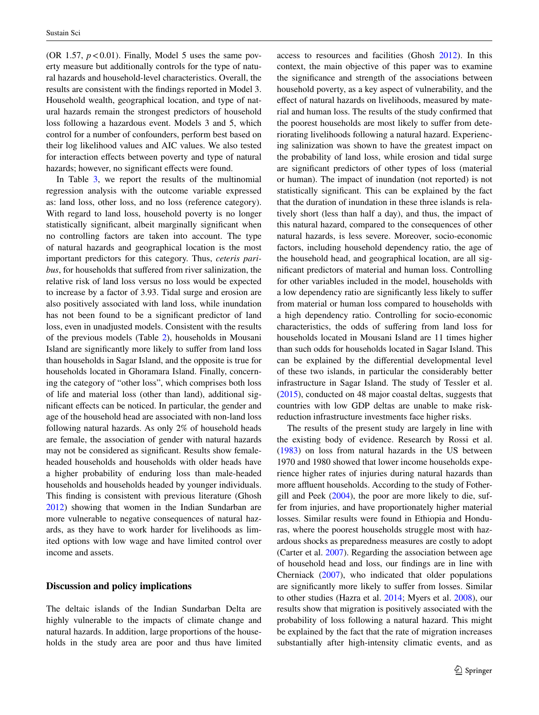(OR 1.57,  $p < 0.01$ ). Finally, Model 5 uses the same poverty measure but additionally controls for the type of natural hazards and household-level characteristics. Overall, the results are consistent with the findings reported in Model 3. Household wealth, geographical location, and type of natural hazards remain the strongest predictors of household loss following a hazardous event. Models 3 and 5, which control for a number of confounders, perform best based on their log likelihood values and AIC values. We also tested for interaction effects between poverty and type of natural hazards; however, no significant effects were found.

In Table  $3$ , we report the results of the multinomial regression analysis with the outcome variable expressed as: land loss, other loss, and no loss (reference category). With regard to land loss, household poverty is no longer statistically significant, albeit marginally significant when no controlling factors are taken into account. The type of natural hazards and geographical location is the most important predictors for this category. Thus, *ceteris paribus*, for households that suffered from river salinization, the relative risk of land loss versus no loss would be expected to increase by a factor of 3.93. Tidal surge and erosion are also positively associated with land loss, while inundation has not been found to be a significant predictor of land loss, even in unadjusted models. Consistent with the results of the previous models (Table [2](#page-6-0)), households in Mousani Island are significantly more likely to suffer from land loss than households in Sagar Island, and the opposite is true for households located in Ghoramara Island. Finally, concerning the category of "other loss", which comprises both loss of life and material loss (other than land), additional significant effects can be noticed. In particular, the gender and age of the household head are associated with non-land loss following natural hazards. As only 2% of household heads are female, the association of gender with natural hazards may not be considered as significant. Results show femaleheaded households and households with older heads have a higher probability of enduring loss than male-headed households and households headed by younger individuals. This finding is consistent with previous literature (Ghosh [2012](#page-10-36)) showing that women in the Indian Sundarban are more vulnerable to negative consequences of natural hazards, as they have to work harder for livelihoods as limited options with low wage and have limited control over income and assets.

## **Discussion and policy implications**

The deltaic islands of the Indian Sundarban Delta are highly vulnerable to the impacts of climate change and natural hazards. In addition, large proportions of the households in the study area are poor and thus have limited access to resources and facilities (Ghosh [2012](#page-10-36)). In this context, the main objective of this paper was to examine the significance and strength of the associations between household poverty, as a key aspect of vulnerability, and the effect of natural hazards on livelihoods, measured by material and human loss. The results of the study confirmed that the poorest households are most likely to suffer from deteriorating livelihoods following a natural hazard. Experiencing salinization was shown to have the greatest impact on the probability of land loss, while erosion and tidal surge are significant predictors of other types of loss (material or human). The impact of inundation (not reported) is not statistically significant. This can be explained by the fact that the duration of inundation in these three islands is relatively short (less than half a day), and thus, the impact of this natural hazard, compared to the consequences of other natural hazards, is less severe. Moreover, socio-economic factors, including household dependency ratio, the age of the household head, and geographical location, are all significant predictors of material and human loss. Controlling for other variables included in the model, households with a low dependency ratio are significantly less likely to suffer from material or human loss compared to households with a high dependency ratio. Controlling for socio-economic characteristics, the odds of suffering from land loss for households located in Mousani Island are 11 times higher than such odds for households located in Sagar Island. This can be explained by the differential developmental level of these two islands, in particular the considerably better infrastructure in Sagar Island. The study of Tessler et al. [\(2015](#page-11-1)), conducted on 48 major coastal deltas, suggests that countries with low GDP deltas are unable to make riskreduction infrastructure investments face higher risks.

The results of the present study are largely in line with the existing body of evidence. Research by Rossi et al. [\(1983](#page-11-24)) on loss from natural hazards in the US between 1970 and 1980 showed that lower income households experience higher rates of injuries during natural hazards than more affluent households. According to the study of Fothergill and Peek ([2004\)](#page-10-7), the poor are more likely to die, suffer from injuries, and have proportionately higher material losses. Similar results were found in Ethiopia and Honduras, where the poorest households struggle most with hazardous shocks as preparedness measures are costly to adopt (Carter et al. [2007\)](#page-10-13). Regarding the association between age of household head and loss, our findings are in line with Cherniack ([2007\)](#page-10-37), who indicated that older populations are significantly more likely to suffer from losses. Similar to other studies (Hazra et al. [2014;](#page-10-15) Myers et al. [2008](#page-11-25)), our results show that migration is positively associated with the probability of loss following a natural hazard. This might be explained by the fact that the rate of migration increases substantially after high-intensity climatic events, and as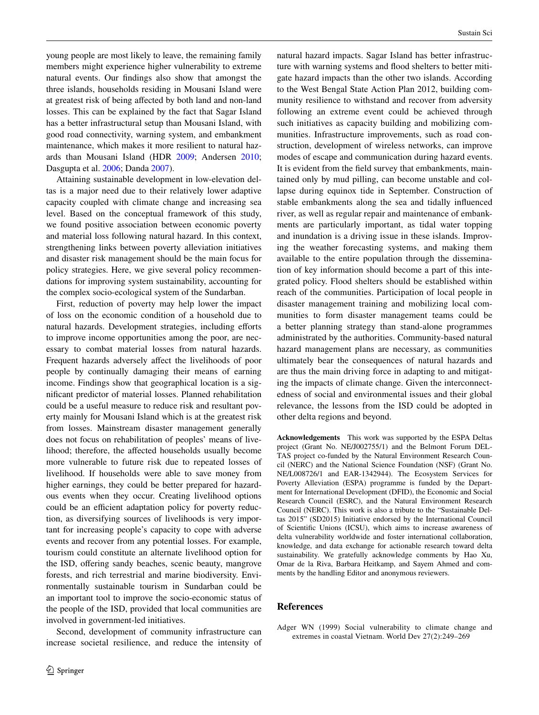young people are most likely to leave, the remaining family members might experience higher vulnerability to extreme natural events. Our findings also show that amongst the three islands, households residing in Mousani Island were at greatest risk of being affected by both land and non-land losses. This can be explained by the fact that Sagar Island has a better infrastructural setup than Mousani Island, with good road connectivity, warning system, and embankment maintenance, which makes it more resilient to natural hazards than Mousani Island (HDR [2009;](#page-10-27) Andersen [2010](#page-10-38); Dasgupta et al. [2006](#page-10-39); Danda [2007](#page-10-40)).

Attaining sustainable development in low-elevation deltas is a major need due to their relatively lower adaptive capacity coupled with climate change and increasing sea level. Based on the conceptual framework of this study, we found positive association between economic poverty and material loss following natural hazard. In this context, strengthening links between poverty alleviation initiatives and disaster risk management should be the main focus for policy strategies. Here, we give several policy recommendations for improving system sustainability, accounting for the complex socio-ecological system of the Sundarban.

First, reduction of poverty may help lower the impact of loss on the economic condition of a household due to natural hazards. Development strategies, including efforts to improve income opportunities among the poor, are necessary to combat material losses from natural hazards. Frequent hazards adversely affect the livelihoods of poor people by continually damaging their means of earning income. Findings show that geographical location is a significant predictor of material losses. Planned rehabilitation could be a useful measure to reduce risk and resultant poverty mainly for Mousani Island which is at the greatest risk from losses. Mainstream disaster management generally does not focus on rehabilitation of peoples' means of livelihood; therefore, the affected households usually become more vulnerable to future risk due to repeated losses of livelihood. If households were able to save money from higher earnings, they could be better prepared for hazardous events when they occur. Creating livelihood options could be an efficient adaptation policy for poverty reduction, as diversifying sources of livelihoods is very important for increasing people's capacity to cope with adverse events and recover from any potential losses. For example, tourism could constitute an alternate livelihood option for the ISD, offering sandy beaches, scenic beauty, mangrove forests, and rich terrestrial and marine biodiversity. Environmentally sustainable tourism in Sundarban could be an important tool to improve the socio-economic status of the people of the ISD, provided that local communities are involved in government-led initiatives.

Second, development of community infrastructure can increase societal resilience, and reduce the intensity of natural hazard impacts. Sagar Island has better infrastructure with warning systems and flood shelters to better mitigate hazard impacts than the other two islands. According to the West Bengal State Action Plan 2012, building community resilience to withstand and recover from adversity following an extreme event could be achieved through such initiatives as capacity building and mobilizing communities. Infrastructure improvements, such as road construction, development of wireless networks, can improve modes of escape and communication during hazard events. It is evident from the field survey that embankments, maintained only by mud pilling, can become unstable and collapse during equinox tide in September. Construction of stable embankments along the sea and tidally influenced river, as well as regular repair and maintenance of embankments are particularly important, as tidal water topping and inundation is a driving issue in these islands. Improving the weather forecasting systems, and making them available to the entire population through the dissemination of key information should become a part of this integrated policy. Flood shelters should be established within reach of the communities. Participation of local people in disaster management training and mobilizing local communities to form disaster management teams could be a better planning strategy than stand-alone programmes administrated by the authorities. Community-based natural hazard management plans are necessary, as communities ultimately bear the consequences of natural hazards and are thus the main driving force in adapting to and mitigating the impacts of climate change. Given the interconnectedness of social and environmental issues and their global relevance, the lessons from the ISD could be adopted in other delta regions and beyond.

**Acknowledgements** This work was supported by the ESPA Deltas project (Grant No. NE/J002755/1) and the Belmont Forum DEL-TAS project co-funded by the Natural Environment Research Council (NERC) and the National Science Foundation (NSF) (Grant No. NE/L008726/1 and EAR-1342944). The Ecosystem Services for Poverty Alleviation (ESPA) programme is funded by the Department for International Development (DFID), the Economic and Social Research Council (ESRC), and the Natural Environment Research Council (NERC). This work is also a tribute to the "Sustainable Deltas 2015" (SD2015) Initiative endorsed by the International Council of Scientific Unions (ICSU), which aims to increase awareness of delta vulnerability worldwide and foster international collaboration, knowledge, and data exchange for actionable research toward delta sustainability. We gratefully acknowledge comments by Hao Xu, Omar de la Riva, Barbara Heitkamp, and Sayem Ahmed and comments by the handling Editor and anonymous reviewers.

#### **References**

<span id="page-9-0"></span>Adger WN (1999) Social vulnerability to climate change and extremes in coastal Vietnam. World Dev 27(2):249–269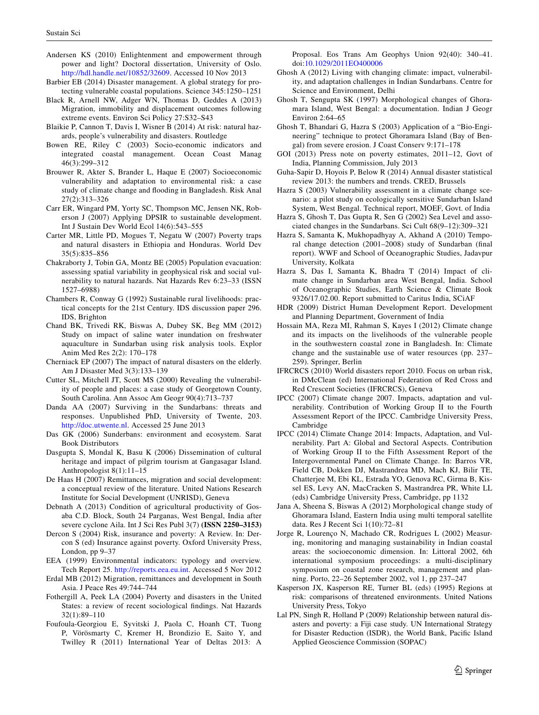- <span id="page-10-38"></span>Andersen KS (2010) Enlightenment and empowerment through power and light? Doctoral dissertation, University of Oslo. [http://hdl.handle.net/10852/32609.](http://hdl.handle.net/10852/32609) Accessed 10 Nov 2013
- <span id="page-10-2"></span>Barbier EB (2014) Disaster management. A global strategy for protecting vulnerable coastal populations. Science 345:1250–1251
- <span id="page-10-35"></span>Black R, Arnell NW, Adger WN, Thomas D, Geddes A (2013) Migration, immobility and displacement outcomes following extreme events. Environ Sci Policy 27:S32–S43
- <span id="page-10-1"></span>Blaikie P, Cannon T, Davis I, Wisner B (2014) At risk: natural hazards, people's vulnerability and disasters. Routledge
- <span id="page-10-25"></span>Bowen RE, Riley C (2003) Socio-economic indicators and integrated coastal management. Ocean Coast Manag 46(3):299–312
- <span id="page-10-9"></span>Brouwer R, Akter S, Brander L, Haque E (2007) Socioeconomic vulnerability and adaptation to environmental risk: a case study of climate change and flooding in Bangladesh. Risk Anal 27(2):313–326
- <span id="page-10-24"></span>Carr ER, Wingard PM, Yorty SC, Thompson MC, Jensen NK, Roberson J (2007) Applying DPSIR to sustainable development. Int J Sustain Dev World Ecol 14(6):543–555
- <span id="page-10-13"></span>Carter MR, Little PD, Mogues T, Negatu W (2007) Poverty traps and natural disasters in Ethiopia and Honduras. World Dev 35(5):835–856
- <span id="page-10-12"></span>Chakraborty J, Tobin GA, Montz BE (2005) Population evacuation: assessing spatial variability in geophysical risk and social vulnerability to natural hazards. Nat Hazards Rev 6:23–33 (ISSN 1527–6988)
- <span id="page-10-31"></span>Chambers R, Conway G (1992) Sustainable rural livelihoods: practical concepts for the 21st Century. IDS discussion paper 296. IDS, Brighton
- <span id="page-10-22"></span>Chand BK, Trivedi RK, Biswas A, Dubey SK, Beg MM (2012) Study on impact of saline water inundation on freshwater aquaculture in Sundarban using risk analysis tools. Explor Anim Med Res 2(2): 170–178
- <span id="page-10-37"></span>Cherniack EP (2007) The impact of natural disasters on the elderly. Am J Disaster Med 3(3):133–139
- <span id="page-10-11"></span>Cutter SL, Mitchell JT, Scott MS (2000) Revealing the vulnerability of people and places: a case study of Georgetown County, South Carolina. Ann Assoc Am Geogr 90(4):713–737
- <span id="page-10-40"></span>Danda AA (2007) Surviving in the Sundarbans: threats and responses. Unpublished PhD, University of Twente, 203. [http://doc.utwente.nl.](http://doc.utwente.nl) Accessed 25 June 2013
- <span id="page-10-20"></span>Das GK (2006) Sunderbans: environment and ecosystem. Sarat Book Distributors
- <span id="page-10-39"></span>Dasgupta S, Mondal K, Basu K (2006) Dissemination of cultural heritage and impact of pilgrim tourism at Gangasagar Island. Anthropologist 8(1):11–15
- <span id="page-10-33"></span>De Haas H (2007) Remittances, migration and social development: a conceptual review of the literature. United Nations Research Institute for Social Development (UNRISD), Geneva
- <span id="page-10-23"></span>Debnath A (2013) Condition of agricultural productivity of Gosaba C.D. Block, South 24 Parganas, West Bengal, India after severe cyclone Aila. Int J Sci Res Publ 3(7) **(ISSN 2250–3153)**
- <span id="page-10-4"></span>Dercon S (2004) Risk, insurance and poverty: A Review. In: Dercon S (ed) Insurance against poverty. Oxford University Press, London, pp 9–37
- <span id="page-10-19"></span>EEA (1999) Environmental indicators: typology and overview. Tech Report 25. <http://reports.eea.eu.int>. Accessed 5 Nov 2012
- <span id="page-10-34"></span>Erdal MB (2012) Migration, remittances and development in South Asia. J Peace Res 49:744–744
- <span id="page-10-7"></span>Fothergill A, Peek LA (2004) Poverty and disasters in the United States: a review of recent sociological findings. Nat Hazards 32(1):89–110
- <span id="page-10-0"></span>Foufoula-Georgiou E, Syvitski J, Paola C, Hoanh CT, Tuong P, Vörösmarty C, Kremer H, Brondizio E, Saito Y, and Twilley R (2011) International Year of Deltas 2013: A

Proposal. Eos Trans Am Geophys Union 92(40): 340–41. doi:[10.1029/2011EO400006](http://dx.doi.org/10.1029/2011EO400006)

- <span id="page-10-36"></span>Ghosh A (2012) Living with changing climate: impact, vulnerability, and adaptation challenges in Indian Sundarbans. Centre for Science and Environment, Delhi
- <span id="page-10-30"></span>Ghosh T, Sengupta SK (1997) Morphological changes of Ghoramara Island, West Bengal: a documentation. Indian J Geogr Environ 2:64–65
- <span id="page-10-29"></span>Ghosh T, Bhandari G, Hazra S (2003) Application of a "Bio-Engineering" technique to protect Ghoramara Island (Bay of Bengal) from severe erosion. J Coast Conserv 9:171–178
- <span id="page-10-32"></span>GOI (2013) Press note on poverty estimates, 2011–12, Govt of India, Planning Commission, July 2013
- <span id="page-10-6"></span>Guha-Sapir D, Hoyois P, Below R (2014) Annual disaster statistical review 2013: the numbers and trends. CRED, Brussels
- <span id="page-10-17"></span>Hazra S (2003) Vulnerability assessment in a climate change scenario: a pilot study on ecologically sensitive Sundarban Island System, West Bengal. Technical report, MOEF, Govt. of India
- <span id="page-10-21"></span>Hazra S, Ghosh T, Das Gupta R, Sen G (2002) Sea Level and associated changes in the Sundarbans. Sci Cult 68(9–12):309–321
- <span id="page-10-16"></span>Hazra S, Samanta K, Mukhopadhyay A, Akhand A (2010) Temporal change detection (2001–2008) study of Sundarban (final report). WWF and School of Oceanographic Studies, Jadavpur University, Kolkata
- <span id="page-10-15"></span>Hazra S, Das I, Samanta K, Bhadra T (2014) Impact of climate change in Sundarban area West Bengal, India. School of Oceanographic Studies, Earth Science & Climate Book 9326/17.02.00. Report submitted to Caritus India, SCiAF
- <span id="page-10-27"></span>HDR (2009) District Human Development Report. Development and Planning Department, Government of India
- <span id="page-10-18"></span>Hossain MA, Reza MI, Rahman S, Kayes I (2012) Climate change and its impacts on the livelihoods of the vulnerable people in the southwestern coastal zone in Bangladesh. In: Climate change and the sustainable use of water resources (pp. 237– 259). Springer, Berlin
- <span id="page-10-5"></span>IFRCRCS (2010) World disasters report 2010. Focus on urban risk, in DMcClean (ed) International Federation of Red Cross and Red Crescent Societies (IFRCRCS), Geneva
- <span id="page-10-3"></span>IPCC (2007) Climate change 2007. Impacts, adaptation and vulnerability. Contribution of Working Group II to the Fourth Assessment Report of the IPCC. Cambridge University Press, Cambridge
- <span id="page-10-14"></span>IPCC (2014) Climate Change 2014: Impacts, Adaptation, and Vulnerability. Part A: Global and Sectoral Aspects. Contribution of Working Group II to the Fifth Assessment Report of the Intergovernmental Panel on Climate Change. In: Barros VR, Field CB, Dokken DJ, Mastrandrea MD, Mach KJ, Bilir TE, Chatterjee M, Ebi KL, Estrada YO, Genova RC, Girma B, Kissel ES, Levy AN, MacCracken S, Mastrandrea PR, White LL (eds) Cambridge University Press, Cambridge, pp 1132
- <span id="page-10-28"></span>Jana A, Sheena S, Biswas A (2012) Morphological change study of Ghoramara Island, Eastern India using multi temporal satellite data. Res J Recent Sci 1(10):72–81
- <span id="page-10-26"></span>Jorge R, Lourenço N, Machado CR, Rodrigues L (2002) Measuring, monitoring and managing sustainability in Indian coastal areas: the socioeconomic dimension. In: Littoral 2002, 6th international symposium proceedings: a multi-disciplinary symposium on coastal zone research, management and planning. Porto, 22–26 September 2002, vol 1, pp 237–247
- <span id="page-10-10"></span>Kasperson JX, Kasperson RE, Turner BL (eds) (1995) Regions at risk: comparisons of threatened environments. United Nations University Press, Tokyo
- <span id="page-10-8"></span>Lal PN, Singh R, Holland P (2009) Relationship between natural disasters and poverty: a Fiji case study. UN International Strategy for Disaster Reduction (ISDR), the World Bank, Pacific Island Applied Geoscience Commission (SOPAC)